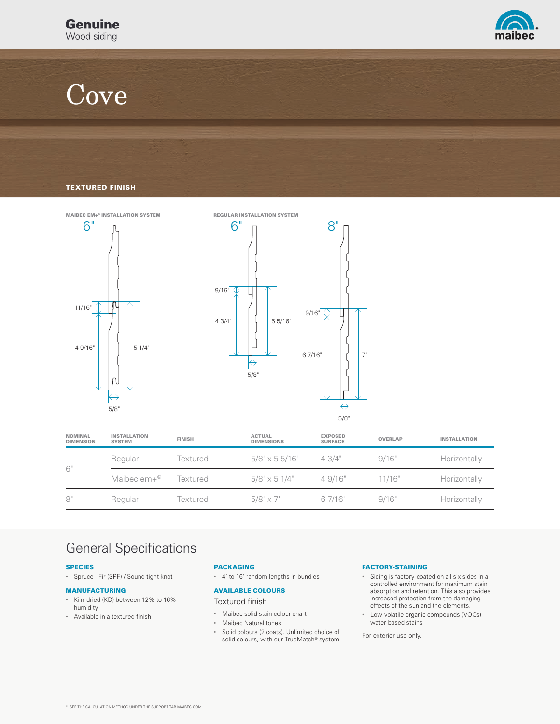

# **Cove**

### TEXTURED FINISH



| <b>NOMINAL</b><br><b>DIMENSION</b> | <b>INSTALLATION</b><br><b>SYSTEM</b> | <b>FINISH</b> | <b>ACTUAL</b><br><b>DIMENSIONS</b> | <b>EXPOSED</b><br><b>SURFACE</b> | <b>OVERLAP</b> | <b>INSTALLATION</b> |
|------------------------------------|--------------------------------------|---------------|------------------------------------|----------------------------------|----------------|---------------------|
| 6"                                 | Regular                              | Textured      | $5/8" \times 55/16"$               | 4.3/4"                           | 9/16"          | Horizontally        |
|                                    | Maibec $em+{}^{\circledR}$           | Textured      | $5/8" \times 51/4"$                | 4.9/16"                          | 11/16"         | Horizontally        |
| 8"                                 | Regular                              | Textured      | $5/8" \times 7"$                   | 6 7/16"                          | 9/16"          | Horizontally        |

### General Specifications

### SPECIES

• Spruce - Fir (SPF) / Sound tight knot

#### MANUFACTURING

- Kiln-dried (KD) between 12% to 16% humidity
- Available in a textured finish

### PACKAGING

• 4' to 16' random lengths in bundles

### AVAILABLE COLOURS

Textured finish

- Maibec solid stain colour chart
- Maibec Natural tones
- Solid colours (2 coats). Unlimited choice of solid colours, with our TrueMatch® system

### FACTORY-STAINING

- Siding is factory-coated on all six sides in a controlled environment for maximum stain absorption and retention. This also provides increased protection from the damaging effects of the sun and the elements.
- Low-volatile organic compounds (VOCs) water-based stains

For exterior use only.